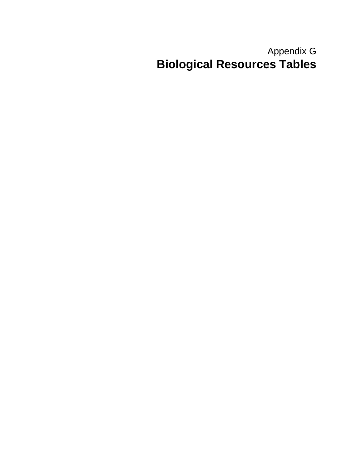# Appendix G **Biological Resources Tables**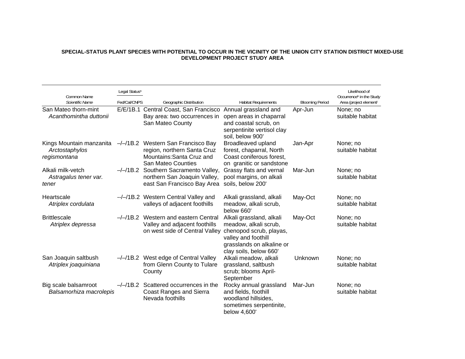### **SPECIAL-STATUS PLANT SPECIES WITH POTENTIAL TO OCCUR IN THE VICINITY OF THE UNION CITY STATION DISTRICT MIXED-USE DEVELOPMENT PROJECT STUDY AREA**

| Common Name                                                | Legal Status <sup>a</sup> |                                                                                                                      |                                                                                                                                                            |                        | Likelihood of<br>Occurrence <sup>b</sup> in the Study |
|------------------------------------------------------------|---------------------------|----------------------------------------------------------------------------------------------------------------------|------------------------------------------------------------------------------------------------------------------------------------------------------------|------------------------|-------------------------------------------------------|
| Scientific Name                                            | Fed/Cal/CNPS              | Geographic Distribution                                                                                              | <b>Habitat Requirements</b>                                                                                                                                | <b>Blooming Period</b> | Area (project element)                                |
| San Mateo thorn-mint<br>Acanthomintha duttonii             |                           | E/E/1B.1 Central Coast, San Francisco<br>Bay area: two occurrences in<br>San Mateo County                            | Annual grassland and<br>open areas in chaparral<br>and coastal scrub, on<br>serpentinite vertisol clay<br>soil, below 900'                                 | Apr-Jun                | None; no<br>suitable habitat                          |
| Kings Mountain manzanita<br>Arctostaphylos<br>regismontana |                           | -/-/1B.2 Western San Francisco Bay<br>region, northern Santa Cruz<br>Mountains: Santa Cruz and<br>San Mateo Counties | Broadleaved upland<br>forest, chaparral, North<br>Coast coniferous forest,<br>on granitic or sandstone                                                     | Jan-Apr                | None; no<br>suitable habitat                          |
| Alkali milk-vetch<br>Astragalus tener var.<br>tener        |                           | -/-/1B.2 Southern Sacramento Valley,<br>northern San Joaquin Valley,<br>east San Francisco Bay Area                  | Grassy flats and vernal<br>pool margins, on alkali<br>soils, below 200'                                                                                    | Mar-Jun                | None; no<br>suitable habitat                          |
| Heartscale<br>Atriplex cordulata                           |                           | --/-/1B.2 Western Central Valley and<br>valleys of adjacent foothills                                                | Alkali grassland, alkali<br>meadow, alkali scrub,<br>below 660                                                                                             | May-Oct                | None; no<br>suitable habitat                          |
| <b>Brittlescale</b><br>Atriplex depressa                   | $-/-/1B.2$                | Western and eastern Central<br>Valley and adjacent foothills<br>on west side of Central Valley                       | Alkali grassland, alkali<br>meadow, alkali scrub,<br>chenopod scrub, playas,<br>valley and foothill<br>grasslands on alkaline or<br>clay soils, below 660' | May-Oct                | None; no<br>suitable habitat                          |
| San Joaquin saltbush<br>Atriplex joaquiniana               | –/–/1B.2                  | West edge of Central Valley<br>from Glenn County to Tulare<br>County                                                 | Alkali meadow, alkali<br>grassland, saltbush<br>scrub; blooms April-<br>September                                                                          | Unknown                | None; no<br>suitable habitat                          |
| Big scale balsamroot<br>Balsamorhiza macrolepis            |                           | $-\frac{1}{18.2}$ Scattered occurrences in the<br><b>Coast Ranges and Sierra</b><br>Nevada foothills                 | Rocky annual grassland<br>and fields, foothill<br>woodland hillsides,<br>sometimes serpentinite,<br>below 4,600'                                           | Mar-Jun                | None; no<br>suitable habitat                          |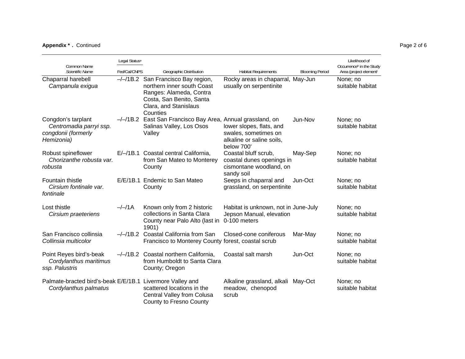## **Appendix ;** . Continued Page 2 of 6

|                                                                                    | Legal Status <sup>a</sup> |                                                                                                                                                                       |                                                                                             |                        | Likelihood of                                                  |
|------------------------------------------------------------------------------------|---------------------------|-----------------------------------------------------------------------------------------------------------------------------------------------------------------------|---------------------------------------------------------------------------------------------|------------------------|----------------------------------------------------------------|
| Common Name<br>Scientific Name                                                     | Fed/Cal/CNPS              | Geographic Distribution                                                                                                                                               | <b>Habitat Requirements</b>                                                                 | <b>Blooming Period</b> | Occurrence <sup>b</sup> in the Study<br>Area (project element) |
| Chaparral harebell<br>Campanula exigua                                             |                           | $-\frac{1}{18.2}$ San Francisco Bay region,<br>northern inner south Coast<br>Ranges: Alameda, Contra<br>Costa, San Benito, Santa<br>Clara, and Stanislaus<br>Counties | Rocky areas in chaparral, May-Jun<br>usually on serpentinite                                |                        | None; no<br>suitable habitat                                   |
| Congdon's tarplant<br>Centromadia parryi ssp.<br>congdonii (formerly<br>Hemizonia) |                           | -/-/1B.2 East San Francisco Bay Area, Annual grassland, on<br>Salinas Valley, Los Osos<br>Valley                                                                      | lower slopes, flats, and<br>swales, sometimes on<br>alkaline or saline soils,<br>below 700' | Jun-Nov                | None; no<br>suitable habitat                                   |
| Robust spineflower<br>Chorizanthe robusta var.<br>robusta                          |                           | E/-/1B.1 Coastal central California,<br>from San Mateo to Monterey<br>County                                                                                          | Coastal bluff scrub,<br>coastal dunes openings in<br>cismontane woodland, on<br>sandy soil  | May-Sep                | None; no<br>suitable habitat                                   |
| Fountain thistle<br>Cirsium fontinale var.<br>fontinale                            |                           | E/E/1B.1 Endemic to San Mateo<br>County                                                                                                                               | Seeps in chaparral and<br>grassland, on serpentinite                                        | Jun-Oct                | None; no<br>suitable habitat                                   |
| Lost thistle<br>Cirsium praeteriens                                                | $-/-/1A$                  | Known only from 2 historic<br>collections in Santa Clara<br>County near Palo Alto (last in<br>1901)                                                                   | Habitat is unknown, not in June-July<br>Jepson Manual, elevation<br>0-100 meters            |                        | None; no<br>suitable habitat                                   |
| San Francisco collinsia<br>Collinsia multicolor                                    |                           | -/-/1B.2 Coastal California from San<br>Francisco to Monterey County forest, coastal scrub                                                                            | Closed-cone coniferous                                                                      | Mar-May                | None; no<br>suitable habitat                                   |
| Point Reyes bird's-beak<br>Cordylanthus maritimus<br>ssp. Palustris                |                           | $-\frac{1}{18.2}$ Coastal northern California,<br>from Humboldt to Santa Clara<br>County; Oregon                                                                      | Coastal salt marsh                                                                          | Jun-Oct                | None; no<br>suitable habitat                                   |
| Palmate-bracted bird's-beak E/E/1B.1 Livermore Valley and<br>Cordylanthus palmatus |                           | scattered locations in the<br>Central Valley from Colusa<br>County to Fresno County                                                                                   | Alkaline grassland, alkali<br>meadow, chenopod<br>scrub                                     | May-Oct                | None; no<br>suitable habitat                                   |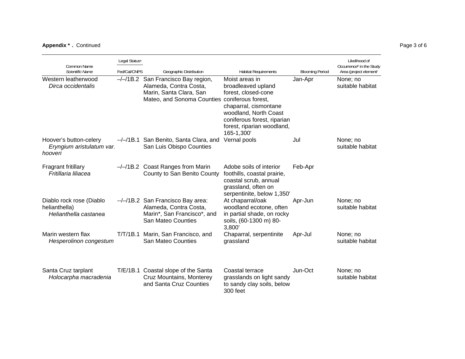## **Appendix \*.** Continued Page 3 of 6

| Common Name                                                        | Likelihood of<br>Legal Status <sup>a</sup> |                                                                                                                                |                                                                                                                                                                                                                |                        |                                                                |  |
|--------------------------------------------------------------------|--------------------------------------------|--------------------------------------------------------------------------------------------------------------------------------|----------------------------------------------------------------------------------------------------------------------------------------------------------------------------------------------------------------|------------------------|----------------------------------------------------------------|--|
| Scientific Name                                                    | Fed/Cal/CNPS                               | Geographic Distribution                                                                                                        | <b>Habitat Requirements</b>                                                                                                                                                                                    | <b>Blooming Period</b> | Occurrence <sup>b</sup> in the Study<br>Area (project element) |  |
| Western leatherwood<br>Dirca occidentalis                          |                                            | $-\frac{1}{18.2}$ San Francisco Bay region,<br>Alameda, Contra Costa,<br>Marin, Santa Clara, San<br>Mateo, and Sonoma Counties | Moist areas in<br>broadleaved upland<br>forest, closed-cone<br>coniferous forest,<br>chaparral, cismontane<br>woodland, North Coast<br>coniferous forest, riparian<br>forest, riparian woodland,<br>165-1,300' | Jan-Apr                | None; no<br>suitable habitat                                   |  |
| Hoover's button-celery<br>Eryngium aristulatum var.<br>hooveri     |                                            | --/-/1B.1 San Benito, Santa Clara, and<br>San Luis Obispo Counties                                                             | Vernal pools                                                                                                                                                                                                   | Jul                    | None; no<br>suitable habitat                                   |  |
| <b>Fragrant fritillary</b><br>Fritillaria liliacea                 |                                            | $-\frac{1}{18.2}$ Coast Ranges from Marin<br>County to San Benito County                                                       | Adobe soils of interior<br>foothills, coastal prairie,<br>coastal scrub, annual<br>grassland, often on<br>serpentinite, below 1,350'                                                                           | Feb-Apr                |                                                                |  |
| Diablo rock rose (Diablo<br>helianthella)<br>Helianthella castanea |                                            | --/-/1B.2 San Francisco Bay area:<br>Alameda, Contra Costa,<br>Marin*, San Francisco*, and<br>San Mateo Counties               | At chaparral/oak<br>woodland ecotone, often<br>in partial shade, on rocky<br>soils, (60-1300 m) 80-<br>3,800'                                                                                                  | Apr-Jun                | None; no<br>suitable habitat                                   |  |
| Marin western flax<br>Hesperolinon congestum                       | T/T/1B.1                                   | Marin, San Francisco, and<br><b>San Mateo Counties</b>                                                                         | Chaparral, serpentinite<br>grassland                                                                                                                                                                           | Apr-Jul                | None; no<br>suitable habitat                                   |  |
| Santa Cruz tarplant<br>Holocarpha macradenia                       |                                            | T/E/1B.1 Coastal slope of the Santa<br>Cruz Mountains, Monterey<br>and Santa Cruz Counties                                     | Coastal terrace<br>grasslands on light sandy<br>to sandy clay soils, below<br>300 feet                                                                                                                         | Jun-Oct                | None; no<br>suitable habitat                                   |  |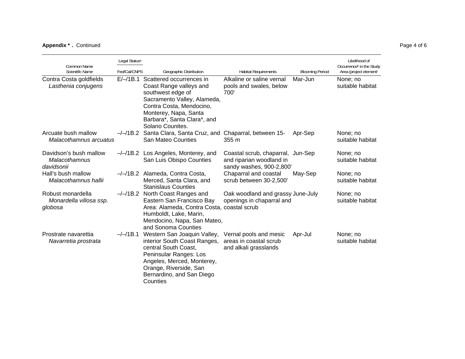## **Appendix \*.** Continued Page 4 of 6

| Common Name                                             | Legal Status <sup>a</sup> |                                                                                                                                                                                                                 |                                                                                           |                        | Likelihood of<br>Occurrence <sup>b</sup> in the Study |
|---------------------------------------------------------|---------------------------|-----------------------------------------------------------------------------------------------------------------------------------------------------------------------------------------------------------------|-------------------------------------------------------------------------------------------|------------------------|-------------------------------------------------------|
| Scientific Name                                         | Fed/Cal/CNPS              | Geographic Distribution                                                                                                                                                                                         | <b>Habitat Requirements</b>                                                               | <b>Blooming Period</b> | Area (project element)                                |
| Contra Costa goldfields<br>Lasthenia conjugens          | $E/-/1B.1$                | Scattered occurrences in<br>Coast Range valleys and<br>southwest edge of<br>Sacramento Valley, Alameda,<br>Contra Costa, Mendocino,<br>Monterey, Napa, Santa<br>Barbara*, Santa Clara*, and<br>Solano Counites. | Alkaline or saline vernal<br>pools and swales, below<br>700                               | Mar-Jun                | None; no<br>suitable habitat                          |
| Arcuate bush mallow<br>Malacothamnus arcuatus           |                           | -/-/1B.2 Santa Clara, Santa Cruz, and<br>San Mateo Counties                                                                                                                                                     | Chaparral, between 15-<br>355m                                                            | Apr-Sep                | None; no<br>suitable habitat                          |
| Davidson's bush mallow<br>Malacothamnus<br>davidsonii   |                           | $-\frac{1}{18.2}$ Los Angeles, Monterey, and<br>San Luis Obispo Counties                                                                                                                                        | Coastal scrub, chaparral, Jun-Sep<br>and riparian woodland in<br>sandy washes, 900-2,800' |                        | None; no<br>suitable habitat                          |
| Hall's bush mallow<br>Malacothamnus hallii              |                           | -/-/1B.2 Alameda, Contra Costa,<br>Merced, Santa Clara, and<br><b>Stanislaus Counties</b>                                                                                                                       | Chaparral and coastal<br>scrub between 30-2,500'                                          | May-Sep                | None; no<br>suitable habitat                          |
| Robust monardella<br>Monardella villosa ssp.<br>globosa |                           | -/-/1B.2 North Coast Ranges and<br>Eastern San Francisco Bay<br>Area: Alameda, Contra Costa, coastal scrub<br>Humboldt, Lake, Marin,<br>Mendocino, Napa, San Mateo,<br>and Sonoma Counties                      | Oak woodland and grassy June-July<br>openings in chaparral and                            |                        | None; no<br>suitable habitat                          |
| Prostrate navarettia<br>Navarretia prostrata            | $-/-/1B.1$                | Western San Joaquin Valley,<br>interior South Coast Ranges,<br>central South Coast,<br>Peninsular Ranges: Los<br>Angeles, Merced, Monterey,<br>Orange, Riverside, San<br>Bernardino, and San Diego<br>Counties  | Vernal pools and mesic<br>areas in coastal scrub<br>and alkali grasslands                 | Apr-Jul                | None; no<br>suitable habitat                          |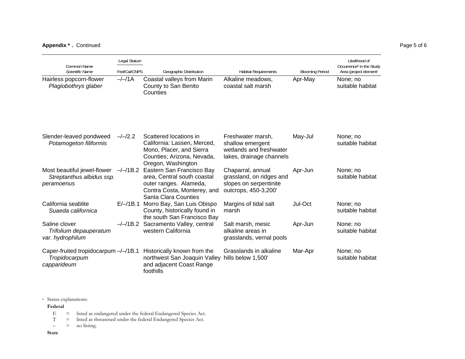## **Appendix \*.** Continued Page 5 of 6

| Common Name                                                            | Legal Status <sup>a</sup> |                                                                                                                                           |                                                                                                 |                        |                              |  |  |
|------------------------------------------------------------------------|---------------------------|-------------------------------------------------------------------------------------------------------------------------------------------|-------------------------------------------------------------------------------------------------|------------------------|------------------------------|--|--|
| Scientific Name                                                        | Fed/Cal/CNPS              | Geographic Distribution                                                                                                                   | <b>Habitat Requirements</b>                                                                     | <b>Blooming Period</b> | Area (project element)       |  |  |
| Hairless popcorn-flower<br>Plagiobothrys glaber                        | $-/-/1A$                  | Coastal valleys from Marin<br>County to San Benito<br>Counties                                                                            | Alkaline meadows,<br>coastal salt marsh                                                         | Apr-May                | None; no<br>suitable habitat |  |  |
| Slender-leaved pondweed<br>Potamogeton filiformis                      | $-/-/2.2$                 | Scattered locations in<br>California: Lassen, Merced,<br>Mono, Placer, and Sierra<br>Counties; Arizona, Nevada,<br>Oregon, Washington     | Freshwater marsh,<br>shallow emergent<br>wetlands and freshwater<br>lakes, drainage channels    | May-Jul                | None; no<br>suitable habitat |  |  |
| Most beautiful jewel-flower<br>Streptanthus albidus ssp.<br>peramoenus | $-/-/1B.2$                | Eastern San Francisco Bay<br>area, Central south coastal<br>outer ranges. Alameda,<br>Contra Costa, Monterey, and<br>Santa Clara Counties | Chaparral, annual<br>grassland, on ridges and<br>slopes on serpentinite<br>outcrops, 450-3,200' | Apr-Jun                | None; no<br>suitable habitat |  |  |
| California seablite<br>Suaeda californica                              |                           | E/-/1B.1 Morro Bay, San Luis Obispo<br>County, historically found in<br>the south San Francisco Bay                                       | Margins of tidal salt<br>marsh                                                                  | Jul-Oct                | None; no<br>suitable habitat |  |  |
| Saline clover<br>Trifolium depauperatum<br>var. hydrophilum            | $-/-/1B.2$                | Sacramento Valley, central<br>western California                                                                                          | Salt marsh, mesic<br>alkaline areas in<br>grasslands, vernal pools                              | Apr-Jun                | None; no<br>suitable habitat |  |  |
| Caper-fruited tropidocarpum -/-/1B.1<br>Tropidocarpum<br>capparideum   |                           | Historically known from the<br>northwest San Joaquin Valley<br>and adjacent Coast Range<br>foothills                                      | Grasslands in alkaline<br>hills below 1,500'                                                    | Mar-Apr                | None; no<br>suitable habitat |  |  |

a Status explanations:

**Federal** 

- E = listed as endangered under the federal Endangered Species Act.<br>
T = listed as threatened under the federal Endangered Species Act.
- = listed as threatened under the federal Endangered Species Act.<br>= no listing.

 $-$  = no listing.

**State**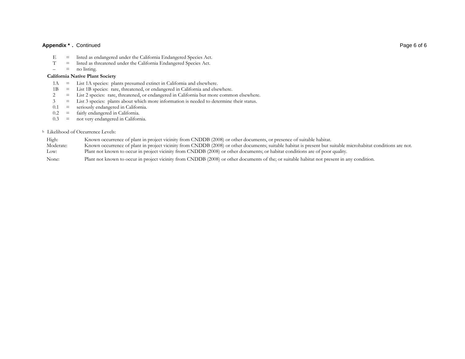#### **Appendix \*.** Continued Page 6 of 6

- E = listed as endangered under the California Endangered Species Act.
- $\equiv$  listed as threatened under the California Endangered Species Act.<br>= no listing.
- $-$  = no listing.

#### **California Native Plant Society**

- 1A = List 1A species: plants presumed extinct in California and elsewhere.<br>1B = List 1B species: rare, threatened, or endangered in California and else
- 1B = List 1B species: rare, threatened, or endangered in California and elsewhere.<br>2 = List 2 species: rare, threatened, or endangered in California but more comm
- 2 = List 2 species: rare, threatened, or endangered in California but more common elsewhere.
- 3 = List 3 species: plants about which more information is needed to determine their status.
- $0.1$  = seriously endangered in California.<br> $0.2$  = fairly endangered in California.
- = fairly endangered in California.
- 0.3 = not very endangered in California.

#### b Likelihood of Occurrence Levels:

| High:     | Known occurrence of plant in project vicinity from CNDDB (2008) or other documents, or presence of suitable habitat.                                          |
|-----------|---------------------------------------------------------------------------------------------------------------------------------------------------------------|
| Moderate: | Known occurrence of plant in project vicinity from CNDDB (2008) or other documents; suitable habitat is present but suitable microhabitat conditions are not. |
| Low:      | Plant not known to occur in project vicinity from CNDDB (2008) or other documents; or habitat conditions are of poor quality.                                 |

None: Plant not known to occur in project vicinity from CNDDB (2008) or other documents of the; or suitable habitat not present in any condition.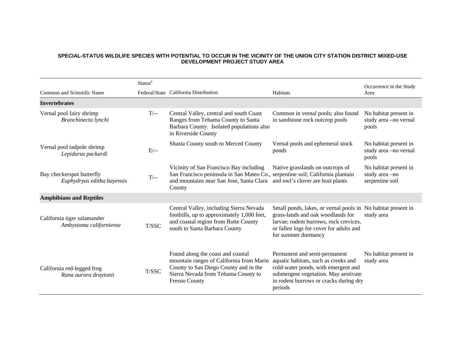## **SPECIAL-STATUS WILDLIFE SPECIES WITH POTENTIAL TO OCCUR IN THE VICINITY OF THE UNION CITY STATION DISTRICT MIXED-USE DEVELOPMENT PROJECT STUDY AREA**

|                                                         | Status <sup>a</sup> |                                                                                                                                                                                       |                                                                                                                                                                                                               | Occurrence in the Study                                   |
|---------------------------------------------------------|---------------------|---------------------------------------------------------------------------------------------------------------------------------------------------------------------------------------|---------------------------------------------------------------------------------------------------------------------------------------------------------------------------------------------------------------|-----------------------------------------------------------|
| Common and Scientific Name                              |                     | Federal/State California Distribution                                                                                                                                                 | Habitats                                                                                                                                                                                                      | Area                                                      |
| <b>Invertebrates</b>                                    |                     |                                                                                                                                                                                       |                                                                                                                                                                                                               |                                                           |
| Vernal pool fairy shrimp<br>Branchinecta lynchi         | $T/-$               | Central Valley, central and south Coast<br>Ranges from Tehama County to Santa<br>Barbara County. Isolated populations also<br>in Riverside County                                     | Common in vernal pools; also found<br>in sandstone rock outcrop pools                                                                                                                                         | No habitat present in<br>study area -no vernal<br>pools   |
| Vernal pool tadpole shrimp<br>Lepidurus packardi        | $E/-$               | Shasta County south to Merced County                                                                                                                                                  | Vernal pools and ephemeral stock<br>ponds                                                                                                                                                                     | No habitat present in<br>study area -no vernal<br>pools   |
| Bay checkerspot butterfly<br>Euphydryas editha bayensis | $T$ --              | Vicinity of San Francisco Bay including<br>San Francisco peninsula in San Mateo Co., serpentine soil; California plantain<br>and mountains near San Jose, Santa Clara<br>County       | Native grasslands on outcrops of<br>and owl's clover are host plants                                                                                                                                          | No habitat present in<br>study area-no<br>serpentine soil |
| <b>Amphibians and Reptiles</b>                          |                     |                                                                                                                                                                                       |                                                                                                                                                                                                               |                                                           |
| California tiger salamander<br>Ambystoma californiense  | T/SSC               | Central Valley, including Sierra Nevada<br>foothills, up to approximately 1,000 feet,<br>and coastal region from Butte County<br>south to Santa Barbara County                        | Small ponds, lakes, or vernal pools in No habitat present in<br>grass-lands and oak woodlands for<br>larvae; rodent burrows, rock crevices,<br>or fallen logs for cover for adults and<br>for summer dormancy | study area                                                |
| California red-legged frog<br>Rana aurora draytonii     | T/SSC               | Found along the coast and coastal<br>mountain ranges of California from Marin<br>County to San Diego County and in the<br>Sierra Nevada from Tehama County to<br><b>Fresno County</b> | Permanent and semi-permanent<br>aquatic habitats, such as creeks and<br>cold-water ponds, with emergent and<br>submergent vegetation. May aestivate<br>in rodent burrows or cracks during dry<br>periods      | No habitat present in<br>study area                       |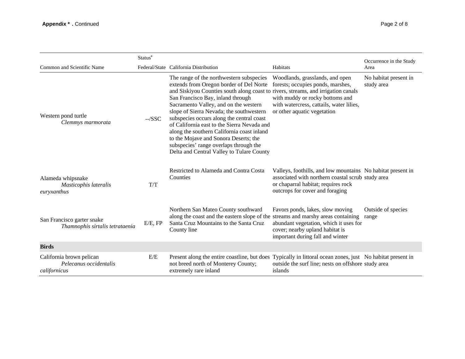|                                                                    | Status <sup>a</sup> |                                                                                                                                                                                                                                                                                                                                                                                                                                                                                                                                                                              |                                                                                                                                                                                            | Occurrence in the Study             |
|--------------------------------------------------------------------|---------------------|------------------------------------------------------------------------------------------------------------------------------------------------------------------------------------------------------------------------------------------------------------------------------------------------------------------------------------------------------------------------------------------------------------------------------------------------------------------------------------------------------------------------------------------------------------------------------|--------------------------------------------------------------------------------------------------------------------------------------------------------------------------------------------|-------------------------------------|
| Common and Scientific Name                                         |                     | Federal/State California Distribution                                                                                                                                                                                                                                                                                                                                                                                                                                                                                                                                        | Habitats                                                                                                                                                                                   | Area                                |
| Western pond turtle<br>Clemmys marmorata                           | $-SSC$              | The range of the northwestern subspecies<br>extends from Oregon border of Del Norte<br>and Siskiyou Counties south along coast to rivers, streams, and irrigation canals<br>San Francisco Bay, inland through<br>Sacramento Valley, and on the western<br>slope of Sierra Nevada; the southwestern<br>subspecies occurs along the central coast<br>of California east to the Sierra Nevada and<br>along the southern California coast inland<br>to the Mojave and Sonora Deserts; the<br>subspecies' range overlaps through the<br>Delta and Central Valley to Tulare County | Woodlands, grasslands, and open<br>forests; occupies ponds, marshes,<br>with muddy or rocky bottoms and<br>with watercress, cattails, water lilies,<br>or other aquatic vegetation         | No habitat present in<br>study area |
| Alameda whipsnake<br>Masticophis lateralis<br>euryxanthus          | T/T                 | Restricted to Alameda and Contra Costa<br>Counties                                                                                                                                                                                                                                                                                                                                                                                                                                                                                                                           | Valleys, foothills, and low mountains No habitat present in<br>associated with northern coastal scrub study area<br>or chaparral habitat; requires rock<br>outcrops for cover and foraging |                                     |
| San Francisco garter snake<br>Thamnophis sirtalis tetrataenia      | E/E, FP             | Northern San Mateo County southward<br>along the coast and the eastern slope of the streams and marshy areas containing<br>Santa Cruz Mountains to the Santa Cruz<br>County line                                                                                                                                                                                                                                                                                                                                                                                             | Favors ponds, lakes, slow moving<br>abundant vegetation, which it uses for<br>cover; nearby upland habitat is<br>important during fall and winter                                          | Outside of species<br>range         |
| <b>Birds</b>                                                       |                     |                                                                                                                                                                                                                                                                                                                                                                                                                                                                                                                                                                              |                                                                                                                                                                                            |                                     |
| California brown pelican<br>Pelecanus occidentalis<br>californicus | E/E                 | Present along the entire coastline, but does<br>not breed north of Monterey County;<br>extremely rare inland                                                                                                                                                                                                                                                                                                                                                                                                                                                                 | Typically in littoral ocean zones, just No habitat present in<br>outside the surf line; nests on offshore study area<br>islands                                                            |                                     |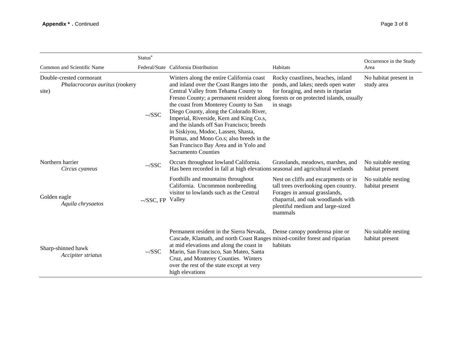|                                                                     | Status <sup>a</sup> |                                                                                                                                                                                                                                                                                                                                                                                                                                                                                                                                                               |                                                                                                                                                                                                   | Occurrence in the Study                |
|---------------------------------------------------------------------|---------------------|---------------------------------------------------------------------------------------------------------------------------------------------------------------------------------------------------------------------------------------------------------------------------------------------------------------------------------------------------------------------------------------------------------------------------------------------------------------------------------------------------------------------------------------------------------------|---------------------------------------------------------------------------------------------------------------------------------------------------------------------------------------------------|----------------------------------------|
| Common and Scientific Name                                          |                     | Federal/State California Distribution                                                                                                                                                                                                                                                                                                                                                                                                                                                                                                                         | Habitats                                                                                                                                                                                          | Area                                   |
| Double-crested cormorant<br>Phalacrocorax auritus (rookery<br>site) | $-SSC$              | Winters along the entire California coast<br>and inland over the Coast Ranges into the<br>Central Valley from Tehama County to<br>Fresno County; a permanent resident along forests or on protected islands, usually<br>the coast from Monterey County to San<br>Diego County, along the Colorado River,<br>Imperial, Riverside, Kern and King Co.s,<br>and the islands off San Francisco; breeds<br>in Siskiyou, Modoc, Lassen, Shasta,<br>Plumas, and Mono Co.s; also breeds in the<br>San Francisco Bay Area and in Yolo and<br><b>Sacramento Counties</b> | Rocky coastlines, beaches, inland<br>ponds, and lakes; needs open water<br>for foraging, and nests in riparian<br>in snags                                                                        | No habitat present in<br>study area    |
| Northern harrier<br>Circus cyaneus                                  | $-SSC$              | Occurs throughout lowland California.<br>Has been recorded in fall at high elevations seasonal and agricultural wetlands                                                                                                                                                                                                                                                                                                                                                                                                                                      | Grasslands, meadows, marshes, and                                                                                                                                                                 | No suitable nesting<br>habitat present |
| Golden eagle<br>Aquila chrysaetos                                   | --/SSC, FP Valley   | Foothills and mountains throughout<br>California. Uncommon nonbreeding<br>visitor to lowlands such as the Central                                                                                                                                                                                                                                                                                                                                                                                                                                             | Nest on cliffs and escarpments or in<br>tall trees overlooking open country.<br>Forages in annual grasslands,<br>chaparral, and oak woodlands with<br>plentiful medium and large-sized<br>mammals | No suitable nesting<br>habitat present |
| Sharp-shinned hawk<br>Accipiter striatus                            | $-SSC$              | Permanent resident in the Sierra Nevada,<br>Cascade, Klamath, and north Coast Ranges mixed-conifer forest and riparian<br>at mid elevations and along the coast in<br>Marin, San Francisco, San Mateo, Santa<br>Cruz, and Monterey Counties. Winters<br>over the rest of the state except at very<br>high elevations                                                                                                                                                                                                                                          | Dense canopy ponderosa pine or<br>habitats                                                                                                                                                        | No suitable nesting<br>habitat present |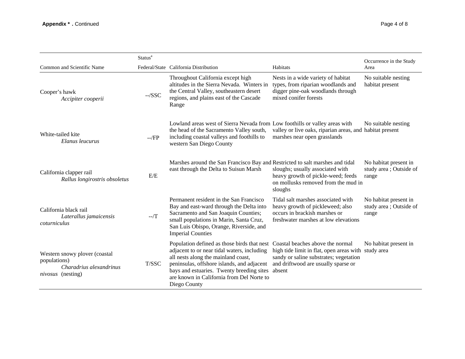|                                                                                                      | Status <sup>a</sup> |                                                                                                                                                                                                                                                                                                                            |                                                                                                                                                 | Occurrence in the Study                                   |
|------------------------------------------------------------------------------------------------------|---------------------|----------------------------------------------------------------------------------------------------------------------------------------------------------------------------------------------------------------------------------------------------------------------------------------------------------------------------|-------------------------------------------------------------------------------------------------------------------------------------------------|-----------------------------------------------------------|
| Common and Scientific Name                                                                           |                     | Federal/State California Distribution                                                                                                                                                                                                                                                                                      | Habitats                                                                                                                                        | Area                                                      |
| Cooper's hawk<br>Accipiter cooperii                                                                  | $-SSC$              | Throughout California except high<br>altitudes in the Sierra Nevada. Winters in<br>the Central Valley, southeastern desert<br>regions, and plains east of the Cascade<br>Range                                                                                                                                             | Nests in a wide variety of habitat<br>types, from riparian woodlands and<br>digger pine-oak woodlands through<br>mixed conifer forests          | No suitable nesting<br>habitat present                    |
| White-tailed kite<br>Elanus leucurus                                                                 | $-$ /FP             | Lowland areas west of Sierra Nevada from Low foothills or valley areas with<br>the head of the Sacramento Valley south,<br>including coastal valleys and foothills to<br>western San Diego County                                                                                                                          | valley or live oaks, riparian areas, and habitat present<br>marshes near open grasslands                                                        | No suitable nesting                                       |
| California clapper rail<br>Rallus longirostris obsoletus                                             | E/E                 | Marshes around the San Francisco Bay and Restricted to salt marshes and tidal<br>east through the Delta to Suisun Marsh                                                                                                                                                                                                    | sloughs; usually associated with<br>heavy growth of pickle-weed; feeds<br>on mollusks removed from the mud in<br>sloughs                        | No habitat present in<br>study area ; Outside of<br>range |
| California black rail<br>Laterallus jamaicensis<br>coturniculus                                      | $-7$                | Permanent resident in the San Francisco<br>Bay and east-ward through the Delta into<br>Sacramento and San Joaquin Counties;<br>small populations in Marin, Santa Cruz,<br>San Luis Obispo, Orange, Riverside, and<br><b>Imperial Counties</b>                                                                              | Tidal salt marshes associated with<br>heavy growth of pickleweed; also<br>occurs in brackish marshes or<br>freshwater marshes at low elevations | No habitat present in<br>study area; Outside of<br>range  |
| Western snowy plover (coastal<br>populations)<br>Charadrius alexandrinus<br><i>nivosus</i> (nesting) | T/SSC               | Population defined as those birds that nest Coastal beaches above the normal<br>adjacent to or near tidal waters, including<br>all nests along the mainland coast,<br>peninsulas, offshore islands, and adjacent<br>bays and estuaries. Twenty breeding sites<br>are known in California from Del Norte to<br>Diego County | high tide limit in flat, open areas with study area<br>sandy or saline substrates; vegetation<br>and driftwood are usually sparse or<br>absent  | No habitat present in                                     |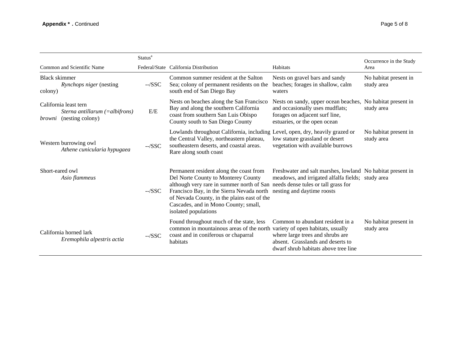|                                                                                          | Status <sup>a</sup> |                                                                                                                                                                                                                                                                                                                             |                                                                                                                                                   | Occurrence in the Study             |
|------------------------------------------------------------------------------------------|---------------------|-----------------------------------------------------------------------------------------------------------------------------------------------------------------------------------------------------------------------------------------------------------------------------------------------------------------------------|---------------------------------------------------------------------------------------------------------------------------------------------------|-------------------------------------|
| Common and Scientific Name                                                               |                     | Federal/State California Distribution                                                                                                                                                                                                                                                                                       | Habitats                                                                                                                                          | Area                                |
| Black skimmer<br>Rynchops niger (nesting<br>colony)                                      | $-SSC$              | Common summer resident at the Salton<br>Sea; colony of permanent residents on the<br>south end of San Diego Bay                                                                                                                                                                                                             | Nests on gravel bars and sandy<br>beaches; forages in shallow, calm<br>waters                                                                     | No habitat present in<br>study area |
| California least tern<br>Sterna antillarum $(=al bifrons)$<br>(nesting colony)<br>browni | E/E                 | Nests on beaches along the San Francisco<br>Bay and along the southern California<br>coast from southern San Luis Obispo<br>County south to San Diego County                                                                                                                                                                | Nests on sandy, upper ocean beaches,<br>and occasionally uses mudflats;<br>forages on adjacent surf line,<br>estuaries, or the open ocean         | No habitat present in<br>study area |
| Western burrowing owl<br>Athene cunicularia hypugaea                                     | $-SSC$              | Lowlands throughout California, including Level, open, dry, heavily grazed or<br>the Central Valley, northeastern plateau,<br>southeastern deserts, and coastal areas.<br>Rare along south coast                                                                                                                            | low stature grassland or desert<br>vegetation with available burrows                                                                              | No habitat present in<br>study area |
| Short-eared owl<br>Asio flammeus                                                         | $-SSC$              | Permanent resident along the coast from<br>Del Norte County to Monterey County<br>although very rare in summer north of San needs dense tules or tall grass for<br>Francisco Bay, in the Sierra Nevada north<br>of Nevada County, in the plains east of the<br>Cascades, and in Mono County; small,<br>isolated populations | Freshwater and salt marshes, lowland No habitat present in<br>meadows, and irrigated alfalfa fields; study area<br>nesting and daytime roosts     |                                     |
| California horned lark<br>Eremophila alpestris actia                                     | $-SSC$              | Found throughout much of the state, less<br>common in mountainous areas of the north variety of open habitats, usually<br>coast and in coniferous or chaparral<br>habitats                                                                                                                                                  | Common to abundant resident in a<br>where large trees and shrubs are<br>absent. Grasslands and deserts to<br>dwarf shrub habitats above tree line | No habitat present in<br>study area |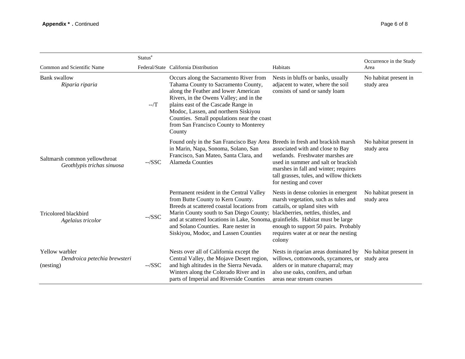|                                                             | Status <sup>a</sup> |                                                                                                                                                                                                                                                                                                                                                  |                                                                                                                                                                                                                                                 | Occurrence in the Study             |
|-------------------------------------------------------------|---------------------|--------------------------------------------------------------------------------------------------------------------------------------------------------------------------------------------------------------------------------------------------------------------------------------------------------------------------------------------------|-------------------------------------------------------------------------------------------------------------------------------------------------------------------------------------------------------------------------------------------------|-------------------------------------|
| Common and Scientific Name                                  |                     | Federal/State California Distribution                                                                                                                                                                                                                                                                                                            | Habitats                                                                                                                                                                                                                                        | Area                                |
| <b>Bank</b> swallow<br>Riparia riparia                      | $-$ /T              | Occurs along the Sacramento River from<br>Tahama County to Sacramento County,<br>along the Feather and lower American<br>Rivers, in the Owens Valley; and in the<br>plains east of the Cascade Range in<br>Modoc, Lassen, and northern Siskiyou<br>Counties. Small populations near the coast<br>from San Francisco County to Monterey<br>County | Nests in bluffs or banks, usually<br>adjacent to water, where the soil<br>consists of sand or sandy loam                                                                                                                                        | No habitat present in<br>study area |
| Saltmarsh common yellowthroat<br>Geothlypis trichas sinuosa | $-SSC$              | Found only in the San Francisco Bay Area Breeds in fresh and brackish marsh<br>in Marin, Napa, Sonoma, Solano, San<br>Francisco, San Mateo, Santa Clara, and<br><b>Alameda Counties</b>                                                                                                                                                          | associated with and close to Bay<br>wetlands. Freshwater marshes are<br>used in summer and salt or brackish<br>marshes in fall and winter; requires<br>tall grasses, tules, and willow thickets<br>for nesting and cover                        | No habitat present in<br>study area |
| Tricolored blackbird<br>Agelaius tricolor                   | $-SSC$              | Permanent resident in the Central Valley<br>from Butte County to Kern County.<br>Breeds at scattered coastal locations from<br>Marin County south to San Diego County;<br>and at scattered locations in Lake, Sonoma, grainfields. Habitat must be large<br>and Solano Counties. Rare nester in<br>Siskiyou, Modoc, and Lassen Counties          | Nests in dense colonies in emergent<br>marsh vegetation, such as tules and<br>cattails, or upland sites with<br>blackberries, nettles, thistles, and<br>enough to support 50 pairs. Probably<br>requires water at or near the nesting<br>colony | No habitat present in<br>study area |
| Yellow warbler<br>Dendroica petechia brewsteri<br>(nesting) | $-$ /SSC            | Nests over all of California except the<br>Central Valley, the Mojave Desert region,<br>and high altitudes in the Sierra Nevada.<br>Winters along the Colorado River and in<br>parts of Imperial and Riverside Counties                                                                                                                          | Nests in riparian areas dominated by<br>willows, cottonwoods, sycamores, or<br>alders or in mature chaparral; may<br>also use oaks, conifers, and urban<br>areas near stream courses                                                            | No habitat present in<br>study area |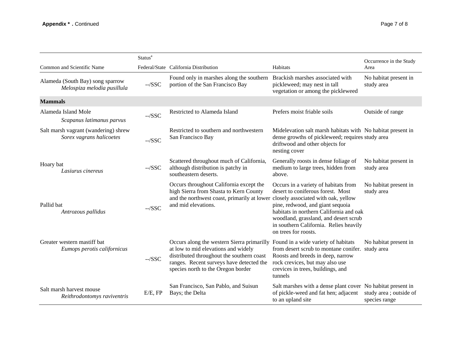|                                                                  | Status <sup>a</sup> |                                                                                                                                                                                                                                                      |                                                                                                                                                                                                                                                                                                            | Occurrence in the Study                  |
|------------------------------------------------------------------|---------------------|------------------------------------------------------------------------------------------------------------------------------------------------------------------------------------------------------------------------------------------------------|------------------------------------------------------------------------------------------------------------------------------------------------------------------------------------------------------------------------------------------------------------------------------------------------------------|------------------------------------------|
| Common and Scientific Name                                       |                     | Federal/State California Distribution                                                                                                                                                                                                                | Habitats                                                                                                                                                                                                                                                                                                   | Area                                     |
| Alameda (South Bay) song sparrow<br>Melospiza melodia pusillula  | $-SSC$              | Found only in marshes along the southern<br>portion of the San Francisco Bay                                                                                                                                                                         | Brackish marshes associated with<br>pickleweed; may nest in tall<br>vegetation or among the pickleweed                                                                                                                                                                                                     | No habitat present in<br>study area      |
| <b>Mammals</b>                                                   |                     |                                                                                                                                                                                                                                                      |                                                                                                                                                                                                                                                                                                            |                                          |
| Alameda Island Mole<br>Scapanus latimanus parvus                 | $-$ /SSC            | Restricted to Alameda Island                                                                                                                                                                                                                         | Prefers moist friable soils                                                                                                                                                                                                                                                                                | Outside of range                         |
| Salt marsh vagrant (wandering) shrew<br>Sorex vagrans halicoetes | $-$ /SSC            | Restricted to southern and northwestern<br>San Francisco Bay                                                                                                                                                                                         | Midelevation salt marsh habitats with No habitat present in<br>dense growths of pickleweed; requires study area<br>driftwood and other objects for<br>nesting cover                                                                                                                                        |                                          |
| Hoary bat<br>Lasiurus cinereus                                   | $-SSC$              | Scattered throughout much of California,<br>although distribution is patchy in<br>southeastern deserts.                                                                                                                                              | Generally roosts in dense foliage of<br>medium to large trees, hidden from<br>above.                                                                                                                                                                                                                       | No habitat present in<br>study area      |
| Pallid bat<br>Antrozous pallidus                                 | $-SSC$              | Occurs throughout California except the<br>high Sierra from Shasta to Kern County<br>and the northwest coast, primarily at lower<br>and mid elevations.                                                                                              | Occurs in a variety of habitats from<br>desert to coniferous forest. Most<br>closely associated with oak, yellow<br>pine, redwood, and giant sequoia<br>habitats in northern California and oak<br>woodland, grassland, and desert scrub<br>in southern California. Relies heavily<br>on trees for roosts. | No habitat present in<br>study area      |
| Greater western mastiff bat<br>Eumops perotis californicus       | $-SSC$              | Occurs along the western Sierra primarilly Found in a wide variety of habitats<br>at low to mid elevations and widely<br>distributed throughout the southern coast<br>ranges. Recent surveys have detected the<br>species north to the Oregon border | from desert scrub to montane conifer. study area<br>Roosts and breeds in deep, narrow<br>rock crevices, but may also use<br>crevices in trees, buildings, and<br>tunnels                                                                                                                                   | No habitat present in                    |
| Salt marsh harvest mouse<br>Reithrodontomys raviventris          | E/E, FP             | San Francisco, San Pablo, and Suisun<br>Bays; the Delta                                                                                                                                                                                              | Salt marshes with a dense plant cover No habitat present in<br>of pickle-weed and fat hen; adjacent<br>to an upland site                                                                                                                                                                                   | study area ; outside of<br>species range |